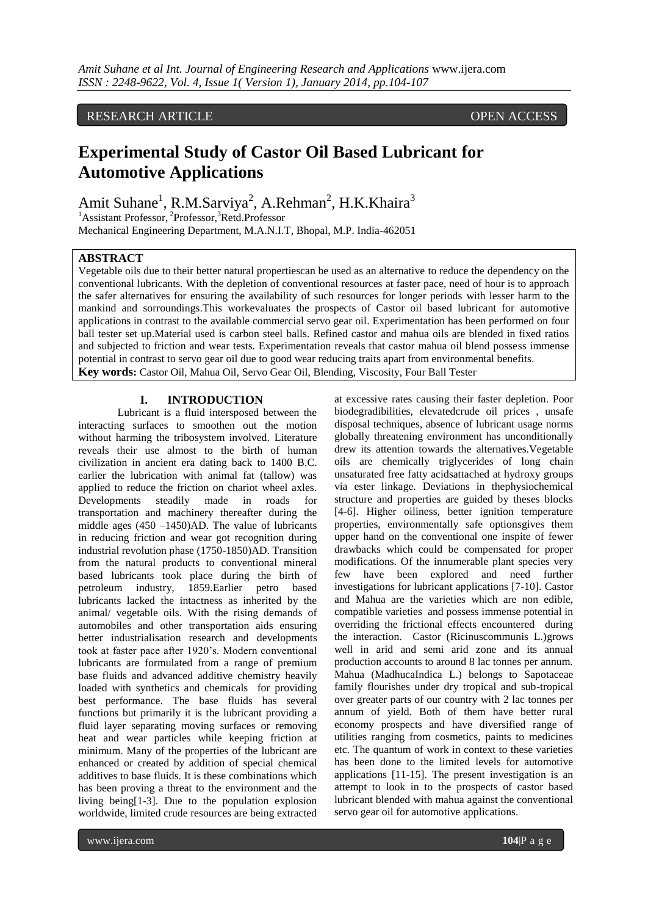# RESEARCH ARTICLE **OPEN ACCESS**

# **Experimental Study of Castor Oil Based Lubricant for Automotive Applications**

Amit Suhane<sup>1</sup>, R.M.Sarviya<sup>2</sup>, A.Rehman<sup>2</sup>, H.K.Khaira<sup>3</sup>

<sup>1</sup>Assistant Professor, <sup>2</sup>Professor, <sup>3</sup>Retd.Professor Mechanical Engineering Department, M.A.N.I.T, Bhopal, M.P. India-462051

# **ABSTRACT**

Vegetable oils due to their better natural propertiescan be used as an alternative to reduce the dependency on the conventional lubricants. With the depletion of conventional resources at faster pace, need of hour is to approach the safer alternatives for ensuring the availability of such resources for longer periods with lesser harm to the mankind and sorroundings.This workevaluates the prospects of Castor oil based lubricant for automotive applications in contrast to the available commercial servo gear oil. Experimentation has been performed on four ball tester set up.Material used is carbon steel balls. Refined castor and mahua oils are blended in fixed ratios and subjected to friction and wear tests. Experimentation reveals that castor mahua oil blend possess immense potential in contrast to servo gear oil due to good wear reducing traits apart from environmental benefits. **Key words:** Castor Oil, Mahua Oil, Servo Gear Oil, Blending, Viscosity, Four Ball Tester

#### **I. INTRODUCTION**

Lubricant is a fluid intersposed between the interacting surfaces to smoothen out the motion without harming the tribosystem involved. Literature reveals their use almost to the birth of human civilization in ancient era dating back to 1400 B.C. earlier the lubrication with animal fat (tallow) was applied to reduce the friction on chariot wheel axles. Developments steadily made in roads for transportation and machinery thereafter during the middle ages (450 –1450)AD. The value of lubricants in reducing friction and wear got recognition during industrial revolution phase (1750-1850)AD. Transition from the natural products to conventional mineral based lubricants took place during the birth of petroleum industry, 1859.Earlier petro based lubricants lacked the intactness as inherited by the animal/ vegetable oils. With the rising demands of automobiles and other transportation aids ensuring better industrialisation research and developments took at faster pace after 1920's. Modern conventional lubricants are formulated from a range of premium base fluids and advanced additive chemistry heavily loaded with synthetics and chemicals for providing best performance. The base fluids has several functions but primarily it is the lubricant providing a fluid layer separating moving surfaces or removing heat and wear particles while keeping friction at minimum. Many of the properties of the lubricant are enhanced or created by addition of special chemical additives to base fluids. It is these combinations which has been proving a threat to the environment and the living being[1-3]. Due to the population explosion worldwide, limited crude resources are being extracted

at excessive rates causing their faster depletion. Poor biodegradibilities, elevatedcrude oil prices , unsafe disposal techniques, absence of lubricant usage norms globally threatening environment has unconditionally drew its attention towards the alternatives.Vegetable oils are chemically triglycerides of long chain unsaturated free fatty acidsattached at hydroxy groups via ester linkage. Deviations in thephysiochemical structure and properties are guided by theses blocks [4-6]. Higher oiliness, better ignition temperature properties, environmentally safe optionsgives them upper hand on the conventional one inspite of fewer drawbacks which could be compensated for proper modifications. Of the innumerable plant species very few have been explored and need further investigations for lubricant applications [7-10]. Castor and Mahua are the varieties which are non edible, compatible varieties and possess immense potential in overriding the frictional effects encountered during the interaction. Castor (Ricinuscommunis L.)grows well in arid and semi arid zone and its annual production accounts to around 8 lac tonnes per annum. Mahua (MadhucaIndica L.) belongs to Sapotaceae family flourishes under dry tropical and sub-tropical over greater parts of our country with 2 lac tonnes per annum of yield. Both of them have better rural economy prospects and have diversified range of utilities ranging from cosmetics, paints to medicines etc. The quantum of work in context to these varieties has been done to the limited levels for automotive applications [11-15]. The present investigation is an attempt to look in to the prospects of castor based lubricant blended with mahua against the conventional servo gear oil for automotive applications.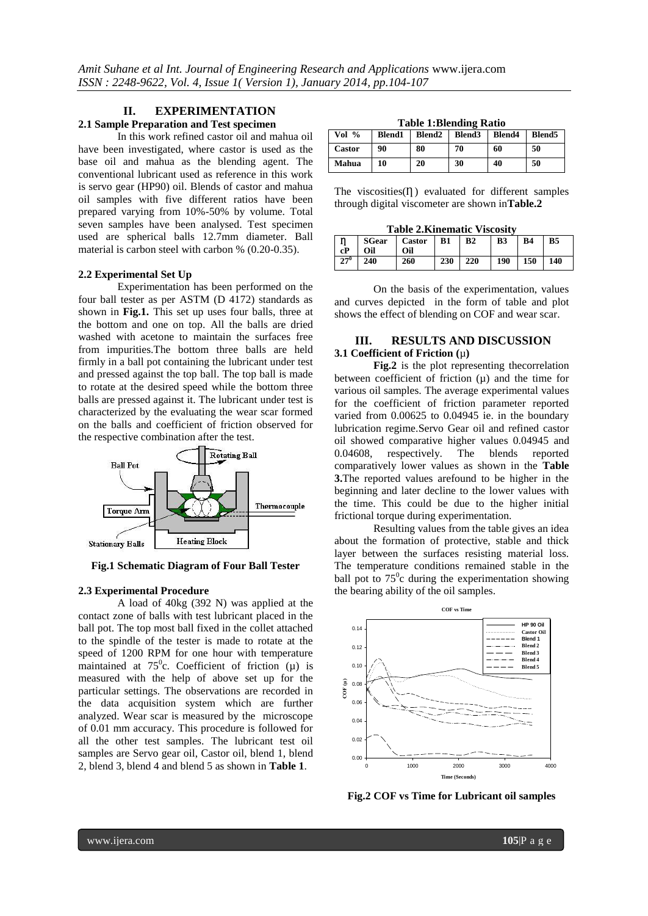# **II. EXPERIMENTATION**

## **2.1 Sample Preparation and Test specimen**

In this work refined castor oil and mahua oil have been investigated, where castor is used as the base oil and mahua as the blending agent. The conventional lubricant used as reference in this work is servo gear (HP90) oil. Blends of castor and mahua oil samples with five different ratios have been prepared varying from 10%-50% by volume. Total seven samples have been analysed. Test specimen used are spherical balls 12.7mm diameter. Ball material is carbon steel with carbon % (0.20-0.35).

#### **2.2 Experimental Set Up**

Experimentation has been performed on the four ball tester as per ASTM (D 4172) standards as shown in **Fig.1.** This set up uses four balls, three at the bottom and one on top. All the balls are dried washed with acetone to maintain the surfaces free from impurities.The bottom three balls are held firmly in a ball pot containing the lubricant under test and pressed against the top ball. The top ball is made to rotate at the desired speed while the bottom three balls are pressed against it. The lubricant under test is characterized by the evaluating the wear scar formed on the balls and coefficient of friction observed for the respective combination after the test.



**Fig.1 Schematic Diagram of Four Ball Tester** 

#### **2.3 Experimental Procedure**

A load of 40kg (392 N) was applied at the contact zone of balls with test lubricant placed in the ball pot. The top most ball fixed in the collet attached to the spindle of the tester is made to rotate at the speed of 1200 RPM for one hour with temperature maintained at 75<sup>o</sup>c. Coefficient of friction  $(\mu)$  is measured with the help of above set up for the particular settings. The observations are recorded in the data acquisition system which are further analyzed. Wear scar is measured by the microscope of 0.01 mm accuracy. This procedure is followed for all the other test samples. The lubricant test oil samples are Servo gear oil, Castor oil, blend 1, blend 2, blend 3, blend 4 and blend 5 as shown in **Table 1**.

**Table 1:Blending Ratio**

| Vol $%$       | <b>Blend1</b> | Blend <sub>2</sub> Blend <sub>3</sub> | $\mathbf{I}$ | <b>Blend4</b> | Blend <sub>5</sub> |
|---------------|---------------|---------------------------------------|--------------|---------------|--------------------|
| <b>Castor</b> | 90            | 80                                    | 70           | 60            | 50                 |
| Mahua         | 10            | 20                                    | 30           | 40            | 50                 |

The viscosities $(η)$  evaluated for different samples through digital viscometer are shown in**Table.2**

**Table 2.Kinematic Viscosity**

| Ιn<br>$ $ cP | Oil             | SGear   Castor   B1<br>Oil |     | B <sub>2</sub> | B <sub>3</sub> | <b>B4</b> | <b>B5</b> |
|--------------|-----------------|----------------------------|-----|----------------|----------------|-----------|-----------|
| $127^\circ$  | $\frac{1}{240}$ | 260                        | 230 | 220            | $190 \t150$    |           | 140       |

On the basis of the experimentation, values and curves depicted in the form of table and plot shows the effect of blending on COF and wear scar.

# **III. RESULTS AND DISCUSSION 3.1 Coefficient of Friction (**µ**)**

**Fig.2** is the plot representing thecorrelation between coefficient of friction  $(\mu)$  and the time for various oil samples. The average experimental values for the coefficient of friction parameter reported varied from 0.00625 to 0.04945 ie. in the boundary lubrication regime.Servo Gear oil and refined castor oil showed comparative higher values 0.04945 and 0.04608, respectively. The blends reported comparatively lower values as shown in the **Table 3.**The reported values arefound to be higher in the beginning and later decline to the lower values with the time. This could be due to the higher initial frictional torque during experimentation.

Resulting values from the table gives an idea about the formation of protective, stable and thick layer between the surfaces resisting material loss. The temperature conditions remained stable in the ball pot to  $75^\circ$ c during the experimentation showing the bearing ability of the oil samples.



**Fig.2 COF vs Time for Lubricant oil samples**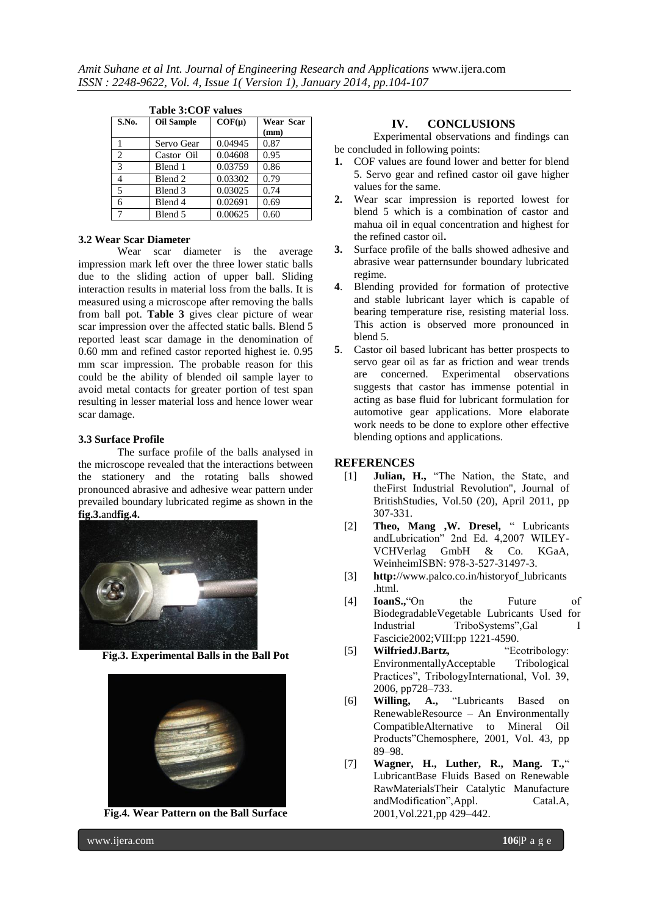|                | Table 3:COF values |            |                   |  |  |  |
|----------------|--------------------|------------|-------------------|--|--|--|
| S.No.          | <b>Oil Sample</b>  | $COF(\mu)$ | Wear Scar<br>(mm) |  |  |  |
|                | Servo Gear         | 0.04945    | 0.87              |  |  |  |
| $\overline{c}$ | Castor Oil         | 0.04608    | 0.95              |  |  |  |
| 3              | Blend 1            | 0.03759    | 0.86              |  |  |  |
| 4              | Blend 2            | 0.03302    | 0.79              |  |  |  |
| 5              | Blend 3            | 0.03025    | 0.74              |  |  |  |
| 6              | Blend 4            | 0.02691    | 0.69              |  |  |  |
|                | Blend 5            | 0.00625    | 0.60              |  |  |  |

**Table 3:COF values**

#### **3.2 Wear Scar Diameter**

Wear scar diameter is the average impression mark left over the three lower static balls due to the sliding action of upper ball. Sliding interaction results in material loss from the balls. It is measured using a microscope after removing the balls from ball pot. **Table 3** gives clear picture of wear scar impression over the affected static balls. Blend 5 reported least scar damage in the denomination of 0.60 mm and refined castor reported highest ie. 0.95 mm scar impression. The probable reason for this could be the ability of blended oil sample layer to avoid metal contacts for greater portion of test span resulting in lesser material loss and hence lower wear scar damage.

#### **3.3 Surface Profile**

The surface profile of the balls analysed in the microscope revealed that the interactions between the stationery and the rotating balls showed pronounced abrasive and adhesive wear pattern under prevailed boundary lubricated regime as shown in the **fig.3.**and**fig.4.**



**Fig.3. Experimental Balls in the Ball Pot**



**Fig.4. Wear Pattern on the Ball Surface**

#### **IV. CONCLUSIONS**

Experimental observations and findings can be concluded in following points:

- **1.** COF values are found lower and better for blend 5. Servo gear and refined castor oil gave higher values for the same.
- **2.** Wear scar impression is reported lowest for blend 5 which is a combination of castor and mahua oil in equal concentration and highest for the refined castor oil**.**
- **3.** Surface profile of the balls showed adhesive and abrasive wear patternsunder boundary lubricated regime.
- **4**. Blending provided for formation of protective and stable lubricant layer which is capable of bearing temperature rise, resisting material loss. This action is observed more pronounced in blend 5.
- **5**. Castor oil based lubricant has better prospects to servo gear oil as far as friction and wear trends are concerned. Experimental observations suggests that castor has immense potential in acting as base fluid for lubricant formulation for automotive gear applications. More elaborate work needs to be done to explore other effective blending options and applications.

### **REFERENCES**

- [1] **Julian, H.,** "The Nation, the State, and theFirst Industrial Revolution", Journal of BritishStudies, Vol.50 (20), April 2011, pp 307-331.
- [2] **Theo, Mang ,W. Dresel,** " Lubricants andLubrication" 2nd Ed. 4,2007 WILEY-VCHVerlag GmbH & Co. KGaA, WeinheimISBN: 978-3-527-31497-3.
- [3] **http:**//www.palco.co.in/historyof\_lubricants .html.
- [4] **IoanS.,**"On the Future of BiodegradableVegetable Lubricants Used for Industrial TriboSystems",Gal I Fascicie2002;VIII:pp 1221-4590.
- [5] **WilfriedJ.Bartz,** "Ecotribology: EnvironmentallyAcceptable Tribological Practices", TribologyInternational, Vol. 39, 2006, pp728–733.
- [6] **Willing, A.,** "Lubricants Based on RenewableResource – An Environmentally CompatibleAlternative to Mineral Oil Products"Chemosphere, 2001, Vol. 43, pp 89–98.
- [7] **Wagner, H., Luther, R., Mang. T.,**" LubricantBase Fluids Based on Renewable RawMaterialsTheir Catalytic Manufacture andModification",Appl. Catal.A, 2001,Vol.221,pp 429–442.

www.ijera.com **106**<sup>p</sup> a g e